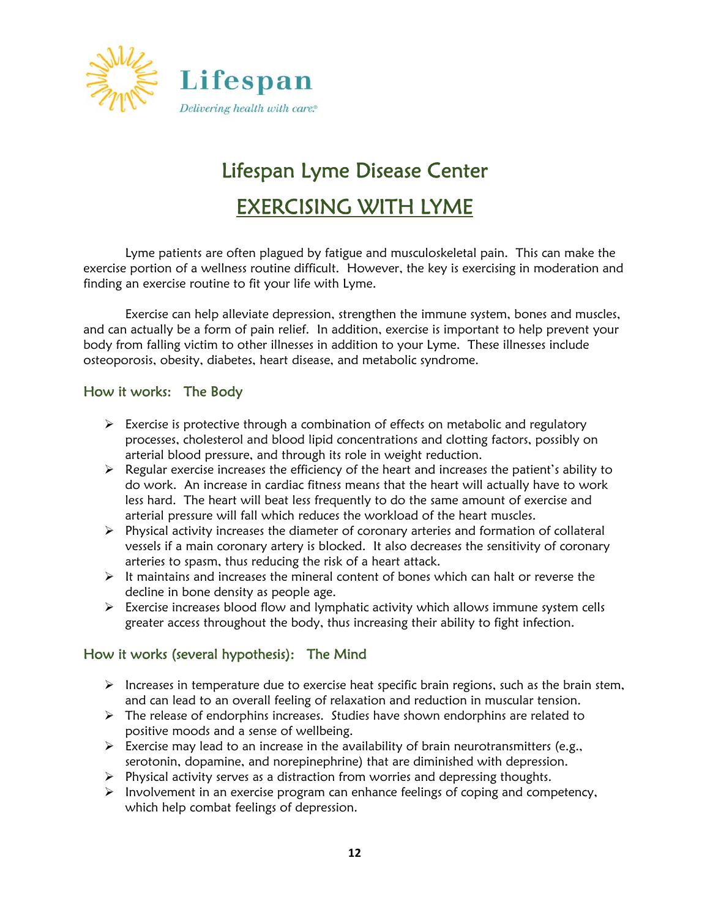

# Lifespan Lyme Disease Center EXERCISING WITH LYME

 Lyme patients are often plagued by fatigue and musculoskeletal pain. This can make the exercise portion of a wellness routine difficult. However, the key is exercising in moderation and finding an exercise routine to fit your life with Lyme.

 Exercise can help alleviate depression, strengthen the immune system, bones and muscles, and can actually be a form of pain relief. In addition, exercise is important to help prevent your body from falling victim to other illnesses in addition to your Lyme. These illnesses include osteoporosis, obesity, diabetes, heart disease, and metabolic syndrome.

## How it works: The Body

- $\triangleright$  Exercise is protective through a combination of effects on metabolic and regulatory processes, cholesterol and blood lipid concentrations and clotting factors, possibly on arterial blood pressure, and through its role in weight reduction.
- $\triangleright$  Regular exercise increases the efficiency of the heart and increases the patient's ability to do work. An increase in cardiac fitness means that the heart will actually have to work less hard. The heart will beat less frequently to do the same amount of exercise and arterial pressure will fall which reduces the workload of the heart muscles.
- $\triangleright$  Physical activity increases the diameter of coronary arteries and formation of collateral vessels if a main coronary artery is blocked. It also decreases the sensitivity of coronary arteries to spasm, thus reducing the risk of a heart attack.
- $\triangleright$  It maintains and increases the mineral content of bones which can halt or reverse the decline in bone density as people age.
- $\triangleright$  Exercise increases blood flow and lymphatic activity which allows immune system cells greater access throughout the body, thus increasing their ability to fight infection.

#### How it works (several hypothesis): The Mind

- $\triangleright$  Increases in temperature due to exercise heat specific brain regions, such as the brain stem, and can lead to an overall feeling of relaxation and reduction in muscular tension.
- $\triangleright$  The release of endorphins increases. Studies have shown endorphins are related to positive moods and a sense of wellbeing.
- $\triangleright$  Exercise may lead to an increase in the availability of brain neurotransmitters (e.g., serotonin, dopamine, and norepinephrine) that are diminished with depression.
- $\triangleright$  Physical activity serves as a distraction from worries and depressing thoughts.
- $\triangleright$  Involvement in an exercise program can enhance feelings of coping and competency, which help combat feelings of depression.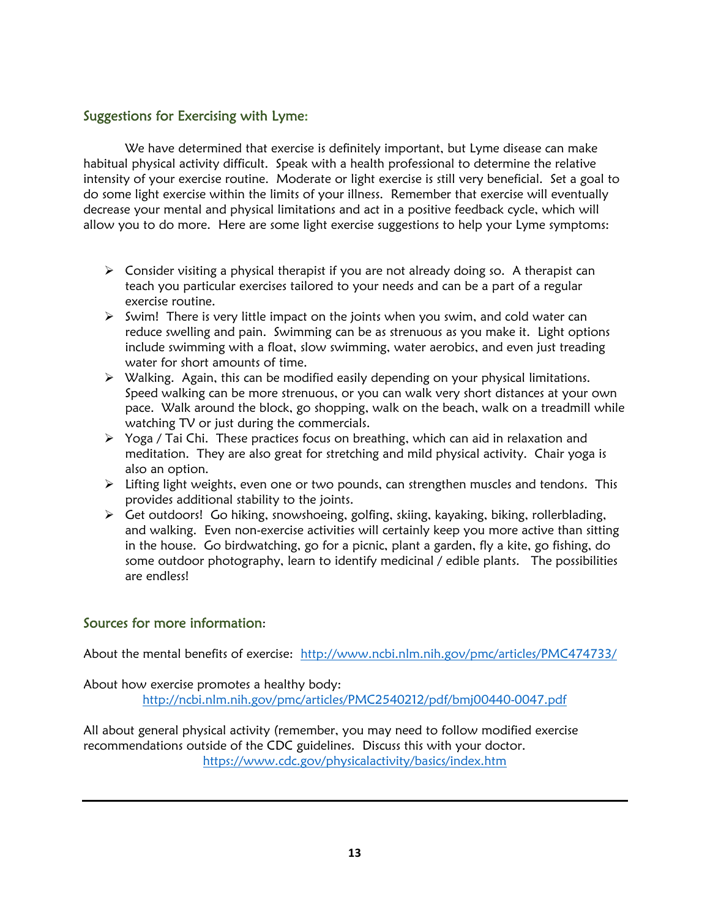## Suggestions for Exercising with Lyme:

 We have determined that exercise is definitely important, but Lyme disease can make habitual physical activity difficult. Speak with a health professional to determine the relative intensity of your exercise routine. Moderate or light exercise is still very beneficial. Set a goal to do some light exercise within the limits of your illness. Remember that exercise will eventually decrease your mental and physical limitations and act in a positive feedback cycle, which will allow you to do more. Here are some light exercise suggestions to help your Lyme symptoms:

- $\triangleright$  Consider visiting a physical therapist if you are not already doing so. A therapist can teach you particular exercises tailored to your needs and can be a part of a regular exercise routine.
- $\triangleright$  Swim! There is very little impact on the joints when you swim, and cold water can reduce swelling and pain. Swimming can be as strenuous as you make it. Light options include swimming with a float, slow swimming, water aerobics, and even just treading water for short amounts of time.
- $\triangleright$  Walking. Again, this can be modified easily depending on your physical limitations. Speed walking can be more strenuous, or you can walk very short distances at your own pace. Walk around the block, go shopping, walk on the beach, walk on a treadmill while watching TV or just during the commercials.
- $\triangleright$  Yoga / Tai Chi. These practices focus on breathing, which can aid in relaxation and meditation. They are also great for stretching and mild physical activity. Chair yoga is also an option.
- $\triangleright$  Lifting light weights, even one or two pounds, can strengthen muscles and tendons. This provides additional stability to the joints.
- Get outdoors! Go hiking, snowshoeing, golfing, skiing, kayaking, biking, rollerblading, and walking. Even non-exercise activities will certainly keep you more active than sitting in the house. Go birdwatching, go for a picnic, plant a garden, fly a kite, go fishing, do some outdoor photography, learn to identify medicinal / edible plants. The possibilities are endless!

#### Sources for more information:

About the mental benefits of exercise: http://www.ncbi.nlm.nih.gov/pmc/articles/PMC474733/

About how exercise promotes a healthy body: http://ncbi.nlm.nih.gov/pmc/articles/PMC2540212/pdf/bmj00440-0047.pdf

All about general physical activity (remember, you may need to follow modified exercise recommendations outside of the CDC guidelines. Discuss this with your doctor. https://www.cdc.gov/physicalactivity/basics/index.htm